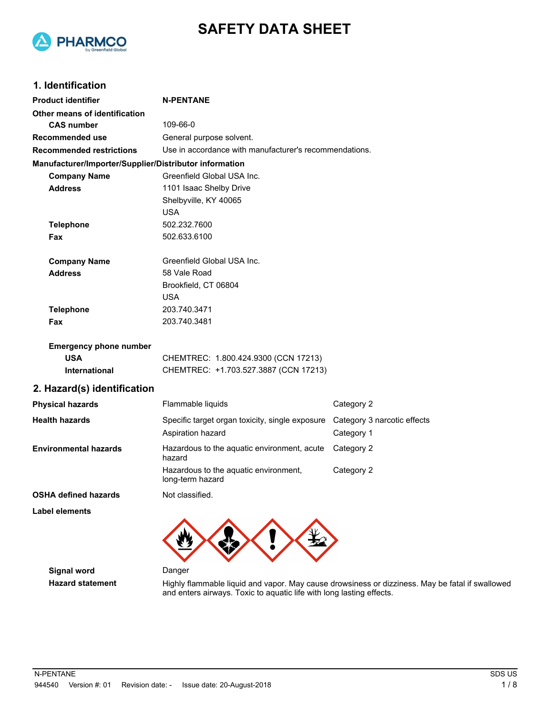

# **SAFETY DATA SHEET**

### **1. Identification**

| <b>Product identifier</b>                              | <b>N-PENTANE</b>                                          |                             |  |
|--------------------------------------------------------|-----------------------------------------------------------|-----------------------------|--|
| Other means of identification                          |                                                           |                             |  |
| <b>CAS number</b>                                      | 109-66-0                                                  |                             |  |
| Recommended use                                        | General purpose solvent.                                  |                             |  |
| <b>Recommended restrictions</b>                        | Use in accordance with manufacturer's recommendations.    |                             |  |
| Manufacturer/Importer/Supplier/Distributor information |                                                           |                             |  |
| <b>Company Name</b>                                    | Greenfield Global USA Inc.                                |                             |  |
| <b>Address</b>                                         | 1101 Isaac Shelby Drive                                   |                             |  |
|                                                        | Shelbyville, KY 40065                                     |                             |  |
|                                                        | <b>USA</b>                                                |                             |  |
| <b>Telephone</b>                                       | 502.232.7600                                              |                             |  |
| Fax                                                    | 502.633.6100                                              |                             |  |
| <b>Company Name</b>                                    | Greenfield Global USA Inc.                                |                             |  |
| <b>Address</b>                                         | 58 Vale Road                                              |                             |  |
|                                                        | Brookfield, CT 06804                                      |                             |  |
|                                                        | USA                                                       |                             |  |
| <b>Telephone</b>                                       | 203.740.3471                                              |                             |  |
| Fax                                                    | 203.740.3481                                              |                             |  |
| <b>Emergency phone number</b>                          |                                                           |                             |  |
| <b>USA</b>                                             | CHEMTREC: 1.800.424.9300 (CCN 17213)                      |                             |  |
| International                                          | CHEMTREC: +1.703.527.3887 (CCN 17213)                     |                             |  |
| 2. Hazard(s) identification                            |                                                           |                             |  |
| <b>Physical hazards</b>                                | Flammable liquids                                         | Category 2                  |  |
| <b>Health hazards</b>                                  | Specific target organ toxicity, single exposure           | Category 3 narcotic effects |  |
|                                                        | Aspiration hazard                                         | Category 1                  |  |
| <b>Environmental hazards</b>                           | Hazardous to the aquatic environment, acute<br>hazard     | Category 2                  |  |
|                                                        | Hazardous to the aquatic environment,<br>long-term hazard | Category 2                  |  |
| <b>OSHA defined hazards</b>                            | Not classified.                                           |                             |  |
| <b>Label elements</b>                                  |                                                           |                             |  |
|                                                        |                                                           |                             |  |

**Signal word** Danger

Hazard statement **Highly flammable liquid and vapor. May cause** drowsiness or dizziness. May be fatal if swallowed and enters airways. Toxic to aquatic life with long lasting effects.

マ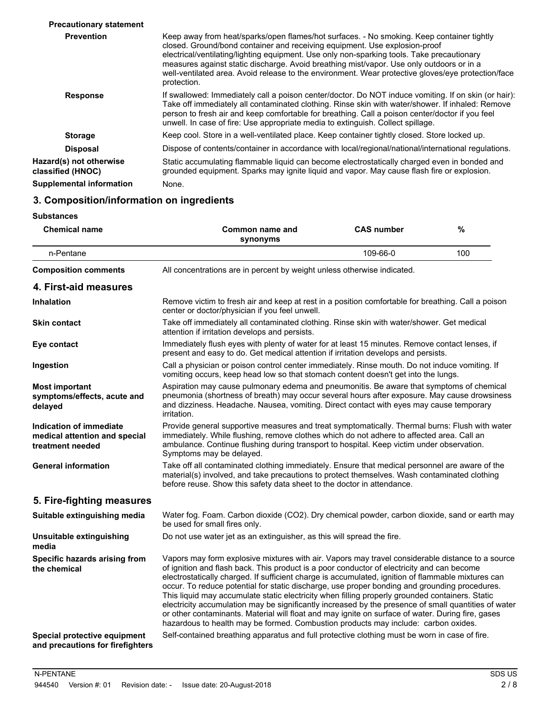| <b>Precautionary statement</b>               |                                                                                                                                                                                                                                                                                                                                                                                                                                                                                        |
|----------------------------------------------|----------------------------------------------------------------------------------------------------------------------------------------------------------------------------------------------------------------------------------------------------------------------------------------------------------------------------------------------------------------------------------------------------------------------------------------------------------------------------------------|
| <b>Prevention</b>                            | Keep away from heat/sparks/open flames/hot surfaces. - No smoking. Keep container tightly<br>closed. Ground/bond container and receiving equipment. Use explosion-proof<br>electrical/ventilating/lighting equipment. Use only non-sparking tools. Take precautionary<br>measures against static discharge. Avoid breathing mist/vapor. Use only outdoors or in a<br>well-ventilated area. Avoid release to the environment. Wear protective gloves/eye protection/face<br>protection. |
| <b>Response</b>                              | If swallowed: Immediately call a poison center/doctor. Do NOT induce vomiting. If on skin (or hair):<br>Take off immediately all contaminated clothing. Rinse skin with water/shower. If inhaled: Remove<br>person to fresh air and keep comfortable for breathing. Call a poison center/doctor if you feel<br>unwell. In case of fire: Use appropriate media to extinguish. Collect spillage.                                                                                         |
| <b>Storage</b>                               | Keep cool. Store in a well-ventilated place. Keep container tightly closed. Store locked up.                                                                                                                                                                                                                                                                                                                                                                                           |
| <b>Disposal</b>                              | Dispose of contents/container in accordance with local/regional/national/international regulations.                                                                                                                                                                                                                                                                                                                                                                                    |
| Hazard(s) not otherwise<br>classified (HNOC) | Static accumulating flammable liquid can become electrostatically charged even in bonded and<br>grounded equipment. Sparks may ignite liquid and vapor. May cause flash fire or explosion.                                                                                                                                                                                                                                                                                             |
| <b>Supplemental information</b>              | None.                                                                                                                                                                                                                                                                                                                                                                                                                                                                                  |

# **3. Composition/information on ingredients**

| <b>Chemical name</b>                                                         | Common name and<br>synonyms                                                                                                                                                                                                                                                                                                                                                                                                                                                                                                                                                                                                                                                                                                                                                                                 | <b>CAS number</b> | $\frac{0}{0}$ |
|------------------------------------------------------------------------------|-------------------------------------------------------------------------------------------------------------------------------------------------------------------------------------------------------------------------------------------------------------------------------------------------------------------------------------------------------------------------------------------------------------------------------------------------------------------------------------------------------------------------------------------------------------------------------------------------------------------------------------------------------------------------------------------------------------------------------------------------------------------------------------------------------------|-------------------|---------------|
| n-Pentane                                                                    |                                                                                                                                                                                                                                                                                                                                                                                                                                                                                                                                                                                                                                                                                                                                                                                                             | 109-66-0          | 100           |
| <b>Composition comments</b>                                                  | All concentrations are in percent by weight unless otherwise indicated.                                                                                                                                                                                                                                                                                                                                                                                                                                                                                                                                                                                                                                                                                                                                     |                   |               |
| 4. First-aid measures                                                        |                                                                                                                                                                                                                                                                                                                                                                                                                                                                                                                                                                                                                                                                                                                                                                                                             |                   |               |
| <b>Inhalation</b>                                                            | Remove victim to fresh air and keep at rest in a position comfortable for breathing. Call a poison<br>center or doctor/physician if you feel unwell.                                                                                                                                                                                                                                                                                                                                                                                                                                                                                                                                                                                                                                                        |                   |               |
| <b>Skin contact</b>                                                          | Take off immediately all contaminated clothing. Rinse skin with water/shower. Get medical<br>attention if irritation develops and persists.                                                                                                                                                                                                                                                                                                                                                                                                                                                                                                                                                                                                                                                                 |                   |               |
| Eye contact                                                                  | Immediately flush eyes with plenty of water for at least 15 minutes. Remove contact lenses, if<br>present and easy to do. Get medical attention if irritation develops and persists.                                                                                                                                                                                                                                                                                                                                                                                                                                                                                                                                                                                                                        |                   |               |
| Ingestion                                                                    | Call a physician or poison control center immediately. Rinse mouth. Do not induce vomiting. If<br>vomiting occurs, keep head low so that stomach content doesn't get into the lungs.                                                                                                                                                                                                                                                                                                                                                                                                                                                                                                                                                                                                                        |                   |               |
| <b>Most important</b><br>symptoms/effects, acute and<br>delayed              | Aspiration may cause pulmonary edema and pneumonitis. Be aware that symptoms of chemical<br>pneumonia (shortness of breath) may occur several hours after exposure. May cause drowsiness<br>and dizziness. Headache. Nausea, vomiting. Direct contact with eyes may cause temporary<br>irritation.                                                                                                                                                                                                                                                                                                                                                                                                                                                                                                          |                   |               |
| Indication of immediate<br>medical attention and special<br>treatment needed | Provide general supportive measures and treat symptomatically. Thermal burns: Flush with water<br>immediately. While flushing, remove clothes which do not adhere to affected area. Call an<br>ambulance. Continue flushing during transport to hospital. Keep victim under observation.<br>Symptoms may be delayed.                                                                                                                                                                                                                                                                                                                                                                                                                                                                                        |                   |               |
| <b>General information</b>                                                   | Take off all contaminated clothing immediately. Ensure that medical personnel are aware of the<br>material(s) involved, and take precautions to protect themselves. Wash contaminated clothing<br>before reuse. Show this safety data sheet to the doctor in attendance.                                                                                                                                                                                                                                                                                                                                                                                                                                                                                                                                    |                   |               |
| 5. Fire-fighting measures                                                    |                                                                                                                                                                                                                                                                                                                                                                                                                                                                                                                                                                                                                                                                                                                                                                                                             |                   |               |
| Suitable extinguishing media                                                 | Water fog. Foam. Carbon dioxide (CO2). Dry chemical powder, carbon dioxide, sand or earth may<br>be used for small fires only.                                                                                                                                                                                                                                                                                                                                                                                                                                                                                                                                                                                                                                                                              |                   |               |
| Unsuitable extinguishing<br>media                                            | Do not use water jet as an extinguisher, as this will spread the fire.                                                                                                                                                                                                                                                                                                                                                                                                                                                                                                                                                                                                                                                                                                                                      |                   |               |
| Specific hazards arising from<br>the chemical                                | Vapors may form explosive mixtures with air. Vapors may travel considerable distance to a source<br>of ignition and flash back. This product is a poor conductor of electricity and can become<br>electrostatically charged. If sufficient charge is accumulated, ignition of flammable mixtures can<br>occur. To reduce potential for static discharge, use proper bonding and grounding procedures.<br>This liquid may accumulate static electricity when filling properly grounded containers. Static<br>electricity accumulation may be significantly increased by the presence of small quantities of water<br>or other contaminants. Material will float and may ignite on surface of water. During fire, gases<br>hazardous to health may be formed. Combustion products may include: carbon oxides. |                   |               |
| Special protective equipment<br>and precautions for firefighters             | Self-contained breathing apparatus and full protective clothing must be worn in case of fire.                                                                                                                                                                                                                                                                                                                                                                                                                                                                                                                                                                                                                                                                                                               |                   |               |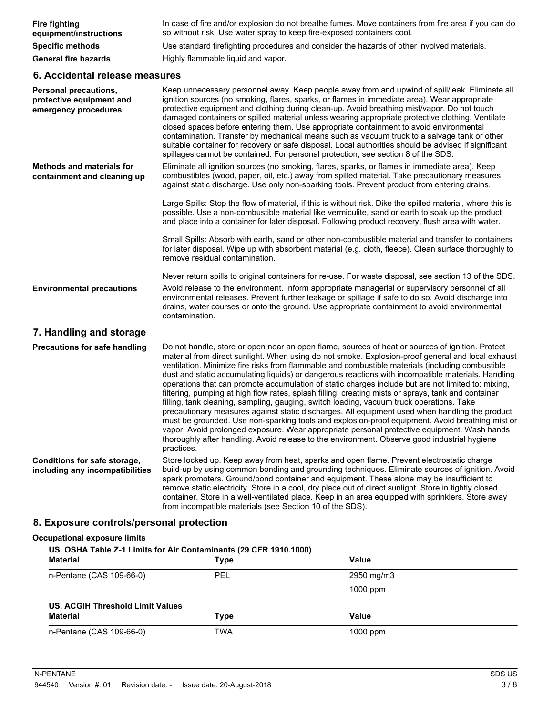| <b>Fire fighting</b><br>equipment/instructions                            | In case of fire and/or explosion do not breathe fumes. Move containers from fire area if you can do<br>so without risk. Use water spray to keep fire-exposed containers cool.                                                                                                                                                                                                                                                                                                                                                                                                                                                                                                                                                                                                                                                                                                                                                                                                                                                                                                                                                              |
|---------------------------------------------------------------------------|--------------------------------------------------------------------------------------------------------------------------------------------------------------------------------------------------------------------------------------------------------------------------------------------------------------------------------------------------------------------------------------------------------------------------------------------------------------------------------------------------------------------------------------------------------------------------------------------------------------------------------------------------------------------------------------------------------------------------------------------------------------------------------------------------------------------------------------------------------------------------------------------------------------------------------------------------------------------------------------------------------------------------------------------------------------------------------------------------------------------------------------------|
| <b>Specific methods</b>                                                   | Use standard firefighting procedures and consider the hazards of other involved materials.                                                                                                                                                                                                                                                                                                                                                                                                                                                                                                                                                                                                                                                                                                                                                                                                                                                                                                                                                                                                                                                 |
| <b>General fire hazards</b>                                               | Highly flammable liquid and vapor.                                                                                                                                                                                                                                                                                                                                                                                                                                                                                                                                                                                                                                                                                                                                                                                                                                                                                                                                                                                                                                                                                                         |
| 6. Accidental release measures                                            |                                                                                                                                                                                                                                                                                                                                                                                                                                                                                                                                                                                                                                                                                                                                                                                                                                                                                                                                                                                                                                                                                                                                            |
| Personal precautions,<br>protective equipment and<br>emergency procedures | Keep unnecessary personnel away. Keep people away from and upwind of spill/leak. Eliminate all<br>ignition sources (no smoking, flares, sparks, or flames in immediate area). Wear appropriate<br>protective equipment and clothing during clean-up. Avoid breathing mist/vapor. Do not touch<br>damaged containers or spilled material unless wearing appropriate protective clothing. Ventilate<br>closed spaces before entering them. Use appropriate containment to avoid environmental<br>contamination. Transfer by mechanical means such as vacuum truck to a salvage tank or other<br>suitable container for recovery or safe disposal. Local authorities should be advised if significant<br>spillages cannot be contained. For personal protection, see section 8 of the SDS.                                                                                                                                                                                                                                                                                                                                                    |
| <b>Methods and materials for</b><br>containment and cleaning up           | Eliminate all ignition sources (no smoking, flares, sparks, or flames in immediate area). Keep<br>combustibles (wood, paper, oil, etc.) away from spilled material. Take precautionary measures<br>against static discharge. Use only non-sparking tools. Prevent product from entering drains.                                                                                                                                                                                                                                                                                                                                                                                                                                                                                                                                                                                                                                                                                                                                                                                                                                            |
|                                                                           | Large Spills: Stop the flow of material, if this is without risk. Dike the spilled material, where this is<br>possible. Use a non-combustible material like vermiculite, sand or earth to soak up the product<br>and place into a container for later disposal. Following product recovery, flush area with water.                                                                                                                                                                                                                                                                                                                                                                                                                                                                                                                                                                                                                                                                                                                                                                                                                         |
|                                                                           | Small Spills: Absorb with earth, sand or other non-combustible material and transfer to containers<br>for later disposal. Wipe up with absorbent material (e.g. cloth, fleece). Clean surface thoroughly to<br>remove residual contamination.                                                                                                                                                                                                                                                                                                                                                                                                                                                                                                                                                                                                                                                                                                                                                                                                                                                                                              |
| <b>Environmental precautions</b>                                          | Never return spills to original containers for re-use. For waste disposal, see section 13 of the SDS.<br>Avoid release to the environment. Inform appropriate managerial or supervisory personnel of all<br>environmental releases. Prevent further leakage or spillage if safe to do so. Avoid discharge into<br>drains, water courses or onto the ground. Use appropriate containment to avoid environmental<br>contamination.                                                                                                                                                                                                                                                                                                                                                                                                                                                                                                                                                                                                                                                                                                           |
| 7. Handling and storage                                                   |                                                                                                                                                                                                                                                                                                                                                                                                                                                                                                                                                                                                                                                                                                                                                                                                                                                                                                                                                                                                                                                                                                                                            |
| <b>Precautions for safe handling</b>                                      | Do not handle, store or open near an open flame, sources of heat or sources of ignition. Protect<br>material from direct sunlight. When using do not smoke. Explosion-proof general and local exhaust<br>ventilation. Minimize fire risks from flammable and combustible materials (including combustible<br>dust and static accumulating liquids) or dangerous reactions with incompatible materials. Handling<br>operations that can promote accumulation of static charges include but are not limited to: mixing,<br>filtering, pumping at high flow rates, splash filling, creating mists or sprays, tank and container<br>filling, tank cleaning, sampling, gauging, switch loading, vacuum truck operations. Take<br>precautionary measures against static discharges. All equipment used when handling the product<br>must be grounded. Use non-sparking tools and explosion-proof equipment. Avoid breathing mist or<br>vapor. Avoid prolonged exposure. Wear appropriate personal protective equipment. Wash hands<br>thoroughly after handling. Avoid release to the environment. Observe good industrial hygiene<br>practices. |
| Conditions for safe storage,<br>including any incompatibilities           | Store locked up. Keep away from heat, sparks and open flame. Prevent electrostatic charge<br>build-up by using common bonding and grounding techniques. Eliminate sources of ignition. Avoid<br>spark promoters. Ground/bond container and equipment. These alone may be insufficient to<br>remove static electricity. Store in a cool, dry place out of direct sunlight. Store in tightly closed<br>container. Store in a well-ventilated place. Keep in an area equipped with sprinklers. Store away<br>from incompatible materials (see Section 10 of the SDS).                                                                                                                                                                                                                                                                                                                                                                                                                                                                                                                                                                         |

# **8. Exposure controls/personal protection**

### **Occupational exposure limits**

| US. OSHA Table Z-1 Limits for Air Contaminants (29 CFR 1910.1000)<br><b>Material</b> | <b>Type</b> | Value      |  |
|--------------------------------------------------------------------------------------|-------------|------------|--|
| n-Pentane (CAS 109-66-0)                                                             | PEL         | 2950 mg/m3 |  |
|                                                                                      |             | $1000$ ppm |  |
| <b>US. ACGIH Threshold Limit Values</b>                                              |             |            |  |
| <b>Material</b>                                                                      | Type        | Value      |  |
| n-Pentane (CAS 109-66-0)                                                             | TWA         | $1000$ ppm |  |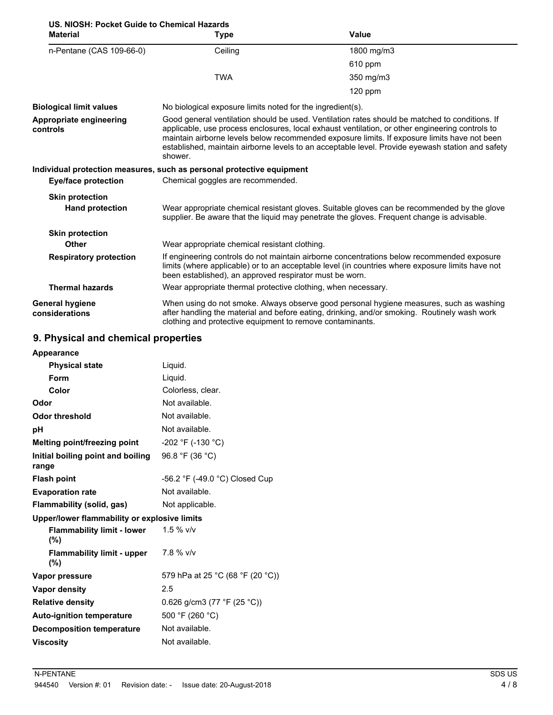| US. NIOSH: Pocket Guide to Chemical Hazards |                                                                                                                                                                                                                                                                                                                                                                                                                  |                                                                                                                                                                                                |  |
|---------------------------------------------|------------------------------------------------------------------------------------------------------------------------------------------------------------------------------------------------------------------------------------------------------------------------------------------------------------------------------------------------------------------------------------------------------------------|------------------------------------------------------------------------------------------------------------------------------------------------------------------------------------------------|--|
| <b>Material</b>                             | <b>Type</b>                                                                                                                                                                                                                                                                                                                                                                                                      | Value                                                                                                                                                                                          |  |
| n-Pentane (CAS 109-66-0)                    | Ceiling                                                                                                                                                                                                                                                                                                                                                                                                          | 1800 mg/m3                                                                                                                                                                                     |  |
|                                             |                                                                                                                                                                                                                                                                                                                                                                                                                  | 610 ppm                                                                                                                                                                                        |  |
|                                             | <b>TWA</b>                                                                                                                                                                                                                                                                                                                                                                                                       | 350 mg/m3                                                                                                                                                                                      |  |
|                                             |                                                                                                                                                                                                                                                                                                                                                                                                                  | $120$ ppm                                                                                                                                                                                      |  |
| <b>Biological limit values</b>              | No biological exposure limits noted for the ingredient(s).                                                                                                                                                                                                                                                                                                                                                       |                                                                                                                                                                                                |  |
| Appropriate engineering<br>controls         | Good general ventilation should be used. Ventilation rates should be matched to conditions. If<br>applicable, use process enclosures, local exhaust ventilation, or other engineering controls to<br>maintain airborne levels below recommended exposure limits. If exposure limits have not been<br>established, maintain airborne levels to an acceptable level. Provide eyewash station and safety<br>shower. |                                                                                                                                                                                                |  |
|                                             | Individual protection measures, such as personal protective equipment                                                                                                                                                                                                                                                                                                                                            |                                                                                                                                                                                                |  |
| Eye/face protection                         | Chemical goggles are recommended.                                                                                                                                                                                                                                                                                                                                                                                |                                                                                                                                                                                                |  |
| <b>Skin protection</b>                      |                                                                                                                                                                                                                                                                                                                                                                                                                  |                                                                                                                                                                                                |  |
| <b>Hand protection</b>                      | Wear appropriate chemical resistant gloves. Suitable gloves can be recommended by the glove<br>supplier. Be aware that the liquid may penetrate the gloves. Frequent change is advisable.                                                                                                                                                                                                                        |                                                                                                                                                                                                |  |
| <b>Skin protection</b>                      |                                                                                                                                                                                                                                                                                                                                                                                                                  |                                                                                                                                                                                                |  |
| <b>Other</b>                                | Wear appropriate chemical resistant clothing.                                                                                                                                                                                                                                                                                                                                                                    |                                                                                                                                                                                                |  |
| <b>Respiratory protection</b>               | been established), an approved respirator must be worn.                                                                                                                                                                                                                                                                                                                                                          | If engineering controls do not maintain airborne concentrations below recommended exposure<br>limits (where applicable) or to an acceptable level (in countries where exposure limits have not |  |
| <b>Thermal hazards</b>                      | Wear appropriate thermal protective clothing, when necessary.                                                                                                                                                                                                                                                                                                                                                    |                                                                                                                                                                                                |  |
| <b>General hygiene</b><br>considerations    | clothing and protective equipment to remove contaminants.                                                                                                                                                                                                                                                                                                                                                        | When using do not smoke. Always observe good personal hygiene measures, such as washing<br>after handling the material and before eating, drinking, and/or smoking. Routinely wash work        |  |

# **9. Physical and chemical properties**

| Appearance                                   |                                  |
|----------------------------------------------|----------------------------------|
| <b>Physical state</b>                        | Liquid.                          |
| Form                                         | Liquid.                          |
| Color                                        | Colorless, clear.                |
| Odor                                         | Not available.                   |
| <b>Odor threshold</b>                        | Not available.                   |
| рH                                           | Not available.                   |
| Melting point/freezing point                 | $-202$ °F (-130 °C)              |
| Initial boiling point and boiling<br>range   | 96.8 °F (36 °C)                  |
| <b>Flash point</b>                           | -56.2 °F (-49.0 °C) Closed Cup   |
| <b>Evaporation rate</b>                      | Not available.                   |
| Flammability (solid, gas)                    | Not applicable.                  |
| Upper/lower flammability or explosive limits |                                  |
| <b>Flammability limit - lower</b><br>(%)     | $1.5 \%$ v/v                     |
| <b>Flammability limit - upper</b><br>(%)     | 7.8 % v/v                        |
| Vapor pressure                               | 579 hPa at 25 °C (68 °F (20 °C)) |
| Vapor density                                | 2.5                              |
| <b>Relative density</b>                      | 0.626 g/cm3 (77 °F (25 °C))      |
| <b>Auto-ignition temperature</b>             | 500 °F (260 °C)                  |
| <b>Decomposition temperature</b>             | Not available.                   |
| <b>Viscosity</b>                             | Not available.                   |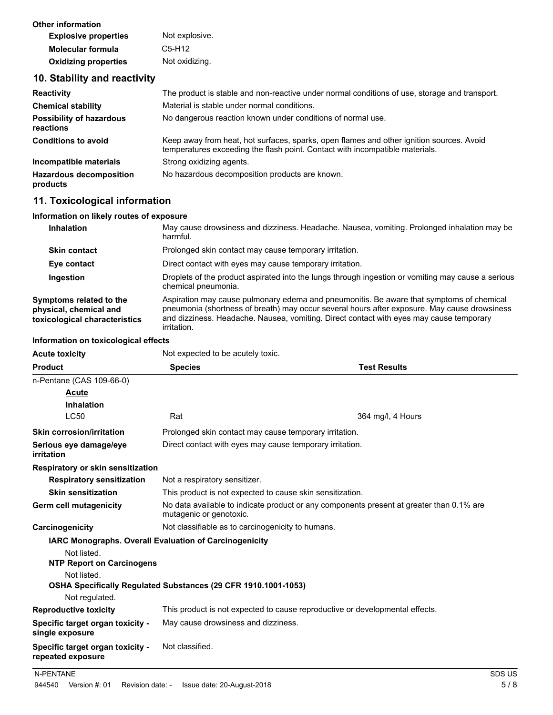| Other information           |                |
|-----------------------------|----------------|
| <b>Explosive properties</b> | Not explosive. |
| <b>Molecular formula</b>    | C5-H12         |
| <b>Oxidizing properties</b> | Not oxidizing. |

### **10. Stability and reactivity**

| <b>Reactivity</b>                            | The product is stable and non-reactive under normal conditions of use, storage and transport.                                                                            |
|----------------------------------------------|--------------------------------------------------------------------------------------------------------------------------------------------------------------------------|
| <b>Chemical stability</b>                    | Material is stable under normal conditions.                                                                                                                              |
| <b>Possibility of hazardous</b><br>reactions | No dangerous reaction known under conditions of normal use.                                                                                                              |
| <b>Conditions to avoid</b>                   | Keep away from heat, hot surfaces, sparks, open flames and other ignition sources. Avoid<br>temperatures exceeding the flash point. Contact with incompatible materials. |
| Incompatible materials                       | Strong oxidizing agents.                                                                                                                                                 |
| <b>Hazardous decomposition</b><br>products   | No hazardous decomposition products are known.                                                                                                                           |

# **11. Toxicological information**

#### **Information on likely routes of exposure**

| <b>Inhalation</b>                                                                  | May cause drowsiness and dizziness. Headache. Nausea, vomiting. Prolonged inhalation may be<br>harmful.                                                                                                                                                                                                   |
|------------------------------------------------------------------------------------|-----------------------------------------------------------------------------------------------------------------------------------------------------------------------------------------------------------------------------------------------------------------------------------------------------------|
| <b>Skin contact</b>                                                                | Prolonged skin contact may cause temporary irritation.                                                                                                                                                                                                                                                    |
| Eye contact                                                                        | Direct contact with eyes may cause temporary irritation.                                                                                                                                                                                                                                                  |
| Ingestion                                                                          | Droplets of the product aspirated into the lungs through ingestion or vomiting may cause a serious<br>chemical pneumonia.                                                                                                                                                                                 |
| Symptoms related to the<br>physical, chemical and<br>toxicological characteristics | Aspiration may cause pulmonary edema and pneumonitis. Be aware that symptoms of chemical<br>pneumonia (shortness of breath) may occur several hours after exposure. May cause drowsiness<br>and dizziness. Headache. Nausea, vomiting. Direct contact with eyes may cause temporary<br><i>irritation.</i> |
| Information on toxicological effects                                               |                                                                                                                                                                                                                                                                                                           |

**Information on toxicological effects**

**Acute toxicity** Not expected to be acutely toxic.

| <b>Product</b>                                                                                                                  | <b>Species</b>                                                                                                      | <b>Test Results</b> |  |
|---------------------------------------------------------------------------------------------------------------------------------|---------------------------------------------------------------------------------------------------------------------|---------------------|--|
| n-Pentane (CAS 109-66-0)                                                                                                        |                                                                                                                     |                     |  |
| Acute                                                                                                                           |                                                                                                                     |                     |  |
| <b>Inhalation</b>                                                                                                               |                                                                                                                     |                     |  |
| <b>LC50</b>                                                                                                                     | Rat                                                                                                                 | 364 mg/l, 4 Hours   |  |
| <b>Skin corrosion/irritation</b>                                                                                                | Prolonged skin contact may cause temporary irritation.                                                              |                     |  |
| Serious eye damage/eye<br>irritation                                                                                            | Direct contact with eyes may cause temporary irritation.                                                            |                     |  |
| Respiratory or skin sensitization                                                                                               |                                                                                                                     |                     |  |
| <b>Respiratory sensitization</b>                                                                                                | Not a respiratory sensitizer.                                                                                       |                     |  |
| <b>Skin sensitization</b>                                                                                                       | This product is not expected to cause skin sensitization.                                                           |                     |  |
| <b>Germ cell mutagenicity</b>                                                                                                   | No data available to indicate product or any components present at greater than 0.1% are<br>mutagenic or genotoxic. |                     |  |
| Carcinogenicity                                                                                                                 | Not classifiable as to carcinogenicity to humans.                                                                   |                     |  |
| <b>IARC Monographs. Overall Evaluation of Carcinogenicity</b><br>Not listed.<br><b>NTP Report on Carcinogens</b><br>Not listed. | OSHA Specifically Regulated Substances (29 CFR 1910.1001-1053)                                                      |                     |  |
| Not regulated.                                                                                                                  |                                                                                                                     |                     |  |
| <b>Reproductive toxicity</b>                                                                                                    | This product is not expected to cause reproductive or developmental effects.                                        |                     |  |
| Specific target organ toxicity -<br>single exposure                                                                             | May cause drowsiness and dizziness.                                                                                 |                     |  |
| Specific target organ toxicity -<br>repeated exposure                                                                           | Not classified.                                                                                                     |                     |  |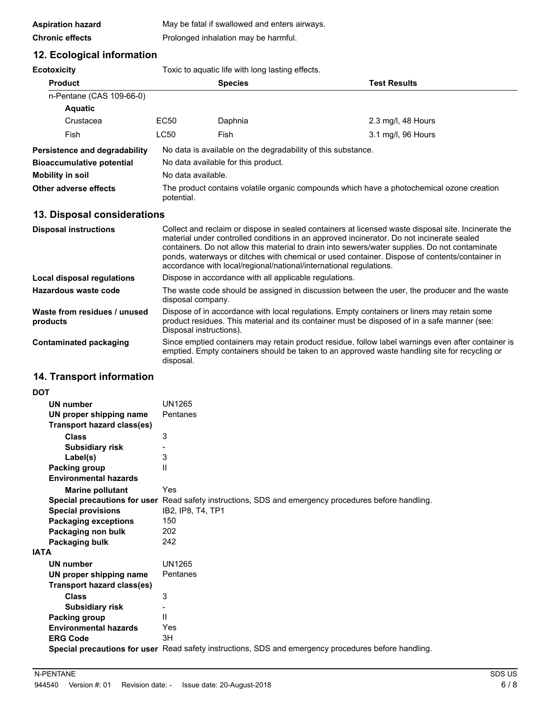| <b>Aspiration hazard</b> | May be fatal if swallowed and enters airways. |
|--------------------------|-----------------------------------------------|
| <b>Chronic effects</b>   | Prolonged inhalation may be harmful.          |

### **12. Ecological information**

**Ecotoxicity Toxic to aquatic life with long lasting effects** 

| ᆫᇰᇰᇅᇰᇧᇅᇅ                                 |                                                                                                                                                                                                                                                                                                                                                                                                                                                                           | , one to agaatto ino with long lability chooto.        |                                                                                                                                                                                                     |
|------------------------------------------|---------------------------------------------------------------------------------------------------------------------------------------------------------------------------------------------------------------------------------------------------------------------------------------------------------------------------------------------------------------------------------------------------------------------------------------------------------------------------|--------------------------------------------------------|-----------------------------------------------------------------------------------------------------------------------------------------------------------------------------------------------------|
| <b>Product</b>                           |                                                                                                                                                                                                                                                                                                                                                                                                                                                                           | <b>Species</b>                                         | <b>Test Results</b>                                                                                                                                                                                 |
| n-Pentane (CAS 109-66-0)                 |                                                                                                                                                                                                                                                                                                                                                                                                                                                                           |                                                        |                                                                                                                                                                                                     |
| <b>Aquatic</b>                           |                                                                                                                                                                                                                                                                                                                                                                                                                                                                           |                                                        |                                                                                                                                                                                                     |
| Crustacea                                | EC50                                                                                                                                                                                                                                                                                                                                                                                                                                                                      | Daphnia                                                | 2.3 mg/l, 48 Hours                                                                                                                                                                                  |
| Fish                                     | <b>LC50</b>                                                                                                                                                                                                                                                                                                                                                                                                                                                               | Fish                                                   | 3.1 mg/l, 96 Hours                                                                                                                                                                                  |
| Persistence and degradability            | No data is available on the degradability of this substance.                                                                                                                                                                                                                                                                                                                                                                                                              |                                                        |                                                                                                                                                                                                     |
| <b>Bioaccumulative potential</b>         | No data available for this product.                                                                                                                                                                                                                                                                                                                                                                                                                                       |                                                        |                                                                                                                                                                                                     |
| <b>Mobility in soil</b>                  | No data available.                                                                                                                                                                                                                                                                                                                                                                                                                                                        |                                                        |                                                                                                                                                                                                     |
| Other adverse effects                    | The product contains volatile organic compounds which have a photochemical ozone creation<br>potential.                                                                                                                                                                                                                                                                                                                                                                   |                                                        |                                                                                                                                                                                                     |
| 13. Disposal considerations              |                                                                                                                                                                                                                                                                                                                                                                                                                                                                           |                                                        |                                                                                                                                                                                                     |
| <b>Disposal instructions</b>             | Collect and reclaim or dispose in sealed containers at licensed waste disposal site. Incinerate the<br>material under controlled conditions in an approved incinerator. Do not incinerate sealed<br>containers. Do not allow this material to drain into sewers/water supplies. Do not contaminate<br>ponds, waterways or ditches with chemical or used container. Dispose of contents/container in<br>accordance with local/regional/national/international regulations. |                                                        |                                                                                                                                                                                                     |
| <b>Local disposal regulations</b>        |                                                                                                                                                                                                                                                                                                                                                                                                                                                                           | Dispose in accordance with all applicable regulations. |                                                                                                                                                                                                     |
| Hazardous waste code                     | disposal company.                                                                                                                                                                                                                                                                                                                                                                                                                                                         |                                                        | The waste code should be assigned in discussion between the user, the producer and the waste                                                                                                        |
| Waste from residues / unused<br>products |                                                                                                                                                                                                                                                                                                                                                                                                                                                                           | Disposal instructions).                                | Dispose of in accordance with local regulations. Empty containers or liners may retain some<br>product residues. This material and its container must be disposed of in a safe manner (see:         |
| <b>Contaminated packaging</b>            | disposal.                                                                                                                                                                                                                                                                                                                                                                                                                                                                 |                                                        | Since emptied containers may retain product residue, follow label warnings even after container is<br>emptied. Empty containers should be taken to an approved waste handling site for recycling or |

### **14. Transport information**

| DOT         |                                   |                                                                                                             |
|-------------|-----------------------------------|-------------------------------------------------------------------------------------------------------------|
|             | <b>UN number</b>                  | <b>UN1265</b>                                                                                               |
|             | UN proper shipping name           | Pentanes                                                                                                    |
|             | Transport hazard class(es)        |                                                                                                             |
|             | <b>Class</b>                      | 3                                                                                                           |
|             | <b>Subsidiary risk</b>            |                                                                                                             |
|             | Label(s)                          | 3                                                                                                           |
|             | Packing group                     | $\mathsf{I}$                                                                                                |
|             | <b>Environmental hazards</b>      |                                                                                                             |
|             | <b>Marine pollutant</b>           | <b>Yes</b>                                                                                                  |
|             |                                   | Special precautions for user Read safety instructions, SDS and emergency procedures before handling.        |
|             | <b>Special provisions</b>         | IB2, IP8, T4, TP1                                                                                           |
|             | <b>Packaging exceptions</b>       | 150                                                                                                         |
|             | Packaging non bulk                | 202                                                                                                         |
|             | Packaging bulk                    | 242                                                                                                         |
| <b>ATAI</b> |                                   |                                                                                                             |
|             | <b>UN number</b>                  | <b>UN1265</b>                                                                                               |
|             | UN proper shipping name           | Pentanes                                                                                                    |
|             | <b>Transport hazard class(es)</b> |                                                                                                             |
|             | Class                             | 3                                                                                                           |
|             | <b>Subsidiary risk</b>            |                                                                                                             |
|             | Packing group                     | Ш                                                                                                           |
|             | <b>Environmental hazards</b>      | Yes                                                                                                         |
|             | <b>ERG Code</b>                   | 3H                                                                                                          |
|             |                                   | <b>Special precautions for user</b> Read safety instructions, SDS and emergency procedures before handling. |
|             |                                   |                                                                                                             |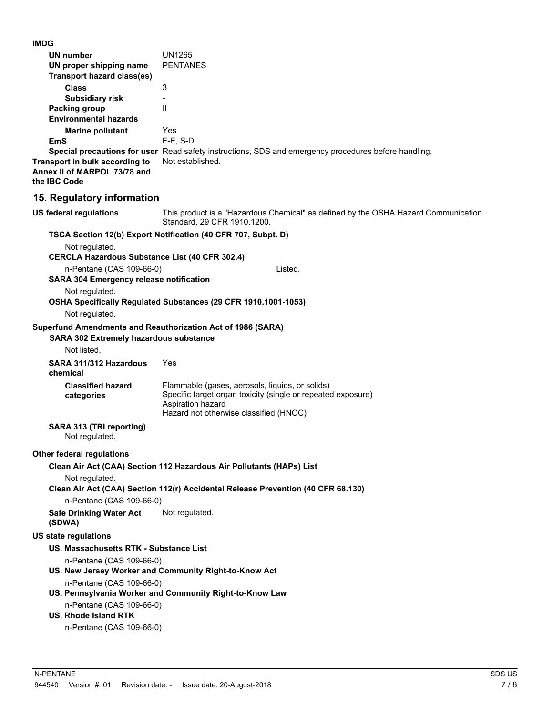**IMDG**

| טשוו                                                                           |                                                                                                                                                                                |
|--------------------------------------------------------------------------------|--------------------------------------------------------------------------------------------------------------------------------------------------------------------------------|
| UN number                                                                      | <b>UN1265</b>                                                                                                                                                                  |
| UN proper shipping name                                                        | <b>PENTANES</b>                                                                                                                                                                |
| <b>Transport hazard class(es)</b>                                              |                                                                                                                                                                                |
| <b>Class</b>                                                                   | 3                                                                                                                                                                              |
| <b>Subsidiary risk</b>                                                         |                                                                                                                                                                                |
| Packing group                                                                  | Ш                                                                                                                                                                              |
| <b>Environmental hazards</b>                                                   |                                                                                                                                                                                |
| <b>Marine pollutant</b><br>EmS                                                 | Yes<br>$F-E$ , S-D                                                                                                                                                             |
|                                                                                | Special precautions for user Read safety instructions, SDS and emergency procedures before handling.                                                                           |
| Transport in bulk according to<br>Annex II of MARPOL 73/78 and<br>the IBC Code | Not established.                                                                                                                                                               |
| 15. Regulatory information                                                     |                                                                                                                                                                                |
| <b>US federal regulations</b>                                                  | This product is a "Hazardous Chemical" as defined by the OSHA Hazard Communication<br>Standard, 29 CFR 1910.1200.                                                              |
|                                                                                | TSCA Section 12(b) Export Notification (40 CFR 707, Subpt. D)                                                                                                                  |
| Not regulated.                                                                 |                                                                                                                                                                                |
| <b>CERCLA Hazardous Substance List (40 CFR 302.4)</b>                          |                                                                                                                                                                                |
| n-Pentane (CAS 109-66-0)                                                       | Listed.                                                                                                                                                                        |
| <b>SARA 304 Emergency release notification</b>                                 |                                                                                                                                                                                |
| Not regulated.                                                                 | OSHA Specifically Regulated Substances (29 CFR 1910.1001-1053)                                                                                                                 |
| Not regulated.                                                                 |                                                                                                                                                                                |
| SARA 302 Extremely hazardous substance<br>Not listed.                          | Superfund Amendments and Reauthorization Act of 1986 (SARA)                                                                                                                    |
| SARA 311/312 Hazardous<br>chemical                                             | Yes                                                                                                                                                                            |
| <b>Classified hazard</b><br>categories                                         | Flammable (gases, aerosols, liquids, or solids)<br>Specific target organ toxicity (single or repeated exposure)<br>Aspiration hazard<br>Hazard not otherwise classified (HNOC) |
| SARA 313 (TRI reporting)<br>Not regulated.                                     |                                                                                                                                                                                |
| <b>Other federal regulations</b>                                               |                                                                                                                                                                                |
|                                                                                | Clean Air Act (CAA) Section 112 Hazardous Air Pollutants (HAPs) List                                                                                                           |
| Not regulated.                                                                 | Clean Air Act (CAA) Section 112(r) Accidental Release Prevention (40 CFR 68.130)                                                                                               |
| n-Pentane (CAS 109-66-0)                                                       |                                                                                                                                                                                |
| <b>Safe Drinking Water Act</b><br>(SDWA)                                       | Not regulated.                                                                                                                                                                 |
| <b>US state regulations</b>                                                    |                                                                                                                                                                                |
| US. Massachusetts RTK - Substance List                                         |                                                                                                                                                                                |
| n-Pentane (CAS 109-66-0)                                                       |                                                                                                                                                                                |
|                                                                                | US. New Jersey Worker and Community Right-to-Know Act                                                                                                                          |
| n-Pentane (CAS 109-66-0)                                                       | US. Pennsylvania Worker and Community Right-to-Know Law                                                                                                                        |
| n-Pentane (CAS 109-66-0)                                                       |                                                                                                                                                                                |
| <b>US. Rhode Island RTK</b>                                                    |                                                                                                                                                                                |
| n-Pentane (CAS 109-66-0)                                                       |                                                                                                                                                                                |
|                                                                                |                                                                                                                                                                                |